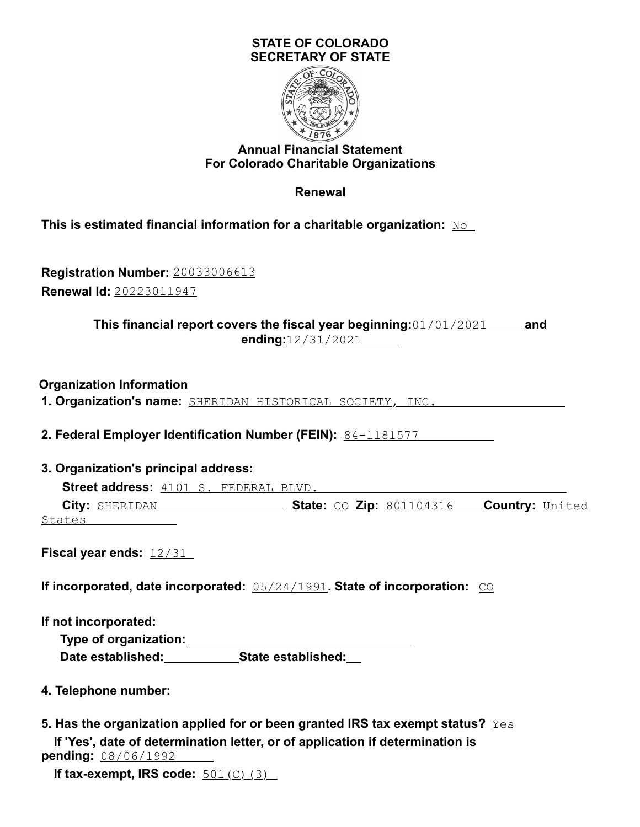## **STATE OF COLORADO SECRETARY OF STATE**



## **Annual Financial Statement For Colorado Charitable Organizations**

**Renewal**

**This is estimated financial information for a charitable organization:** No

**Registration Number:** 20033006613 **Renewal Id:** 20223011947

> **This financial report covers the fiscal year beginning:**01/01/2021 **and ending:**12/31/2021

**Organization Information**

**1. Organization's name:** SHERIDAN HISTORICAL SOCIETY, INC.

**2. Federal Employer Identification Number (FEIN):** 84-1181577

**3. Organization's principal address:**

**Street address:** 4101 S. FEDERAL BLVD. **City:** SHERIDAN **State:** CO **Zip:** 801104316 **Country:** United States **States** 

**Fiscal year ends:** 12/31

**If incorporated, date incorporated:**  $0.5/24/1991$ **. State of incorporation:**  $\overline{CO}$ 

**If not incorporated:**

**Type of organization: Date established: State established:**

- **4. Telephone number:**
- **5. Has the organization applied for or been granted IRS tax exempt status?** Yes **If 'Yes', date of determination letter, or of application if determination is pending:** 08/06/1992

**If tax-exempt, IRS code:**  $\frac{501}{C}$  (3)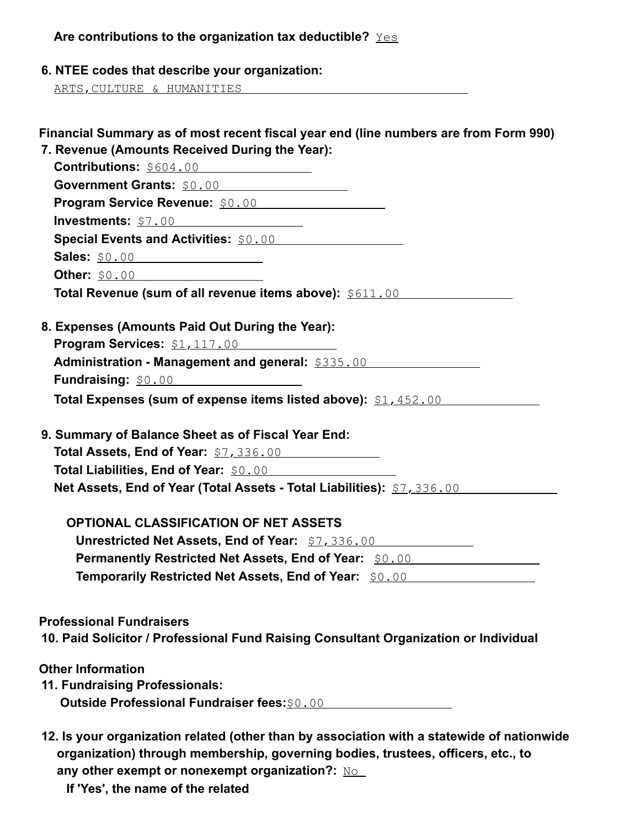| Are contributions to the organization tax deductible? $\frac{Y\in S}{X}$ |  |
|--------------------------------------------------------------------------|--|
|--------------------------------------------------------------------------|--|

**6. NTEE codes that describe your organization:**

ARTS,CULTURE & HUMANITIES

| Financial Summary as of most recent fiscal year end (line numbers are from Form 990)                                     |
|--------------------------------------------------------------------------------------------------------------------------|
| 7. Revenue (Amounts Received During the Year):                                                                           |
| Contributions: \$604.00<br>Government Grants: \$0.00                                                                     |
| Program Service Revenue: \$0.00                                                                                          |
| <b>Investments:</b> \$7.00                                                                                               |
| <b>Special Events and Activities: \$0.00 Special Events and Activities: \$0.00 Special Events</b>                        |
|                                                                                                                          |
| Other: \$0.00                                                                                                            |
| Total Revenue (sum of all revenue items above): \$611.00                                                                 |
|                                                                                                                          |
| 8. Expenses (Amounts Paid Out During the Year):                                                                          |
| <b>Program Services:</b> \$1,117.00                                                                                      |
| Administration - Management and general: \$335.00                                                                        |
| <b>Fundraising: \$0.00 CONVERTS PUNCE AND THE PROPERTY PROPERTY</b>                                                      |
| Total Expenses (sum of expense items listed above): \$1,452.00                                                           |
|                                                                                                                          |
| 9. Summary of Balance Sheet as of Fiscal Year End:                                                                       |
| Total Assets, End of Year: \$7,336.00                                                                                    |
| Total Liabilities, End of Year: \$0.00                                                                                   |
| Net Assets, End of Year (Total Assets - Total Liabilities): \$7,336.00                                                   |
| <b>OPTIONAL CLASSIFICATION OF NET ASSETS</b>                                                                             |
| Unrestricted Net Assets, End of Year: \$7,336.00                                                                         |
| <b>Permanently Restricted Net Assets, End of Year:</b> \$0.00 [100] [2012] [2013] [2013] [2014] [2014] [2014] [2014] [20 |
| Temporarily Restricted Net Assets, End of Year: \$0.00 [199]                                                             |
|                                                                                                                          |
|                                                                                                                          |
| <b>Professional Fundraisers</b>                                                                                          |
| 10. Paid Solicitor / Professional Fund Raising Consultant Organization or Individual                                     |
| <b>Other Information</b>                                                                                                 |
| 11. Fundraising Professionals:                                                                                           |
| <b>Outside Professional Fundraiser fees: \$0.00</b>                                                                      |
|                                                                                                                          |
|                                                                                                                          |

- **12. Is your organization related (other than by association with a statewide of nationwide organization) through membership, governing bodies, trustees, officers, etc., to** any other exempt or nonexempt organization?: No
	- **If 'Yes', the name of the related**